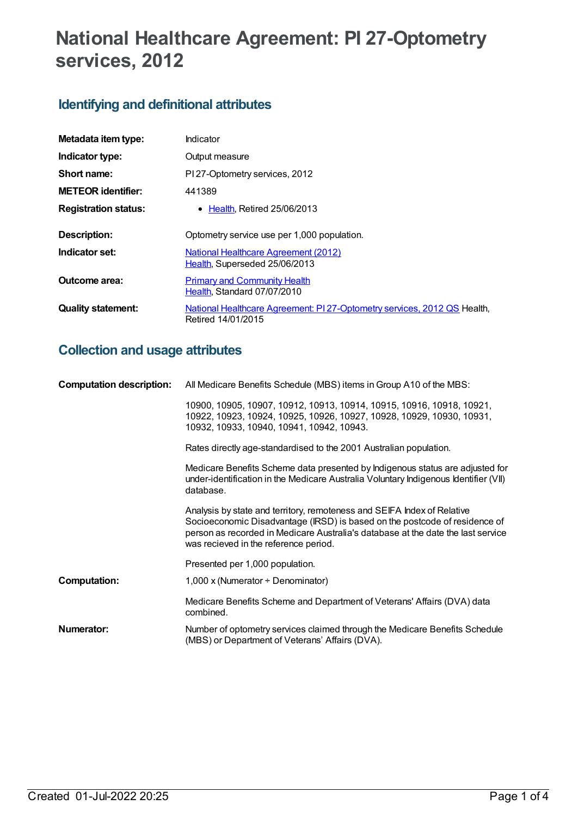# **National Healthcare Agreement: PI 27-Optometry services, 2012**

# **Identifying and definitional attributes**

| Metadata item type:         | Indicator                                                                                      |
|-----------------------------|------------------------------------------------------------------------------------------------|
| Indicator type:             | Output measure                                                                                 |
| Short name:                 | PI 27-Optometry services, 2012                                                                 |
| <b>METEOR identifier:</b>   | 441389                                                                                         |
| <b>Registration status:</b> | $\bullet$ Health. Retired 25/06/2013                                                           |
| Description:                | Optometry service use per 1,000 population.                                                    |
| Indicator set:              | National Healthcare Agreement (2012)<br>Health, Superseded 25/06/2013                          |
| Outcome area:               | <b>Primary and Community Health</b><br>Health, Standard 07/07/2010                             |
| <b>Quality statement:</b>   | National Healthcare Agreement: PI 27-Optometry services, 2012 QS Health,<br>Retired 14/01/2015 |

# **Collection and usage attributes**

| <b>Computation description:</b> | All Medicare Benefits Schedule (MBS) items in Group A10 of the MBS:                                                                                                                                                                                                                |  |
|---------------------------------|------------------------------------------------------------------------------------------------------------------------------------------------------------------------------------------------------------------------------------------------------------------------------------|--|
|                                 | 10900, 10905, 10907, 10912, 10913, 10914, 10915, 10916, 10918, 10921,<br>10922, 10923, 10924, 10925, 10926, 10927, 10928, 10929, 10930, 10931,<br>10932, 10933, 10940, 10941, 10942, 10943.                                                                                        |  |
|                                 | Rates directly age-standardised to the 2001 Australian population.                                                                                                                                                                                                                 |  |
|                                 | Medicare Benefits Scheme data presented by Indigenous status are adjusted for<br>under-identification in the Medicare Australia Voluntary Indigenous Identifier (VII)<br>database.                                                                                                 |  |
|                                 | Analysis by state and territory, remoteness and SEIFA Index of Relative<br>Socioeconomic Disadvantage (IRSD) is based on the postcode of residence of<br>person as recorded in Medicare Australia's database at the date the last service<br>was recieved in the reference period. |  |
|                                 | Presented per 1,000 population.                                                                                                                                                                                                                                                    |  |
| <b>Computation:</b>             | 1,000 x (Numerator $\div$ Denominator)                                                                                                                                                                                                                                             |  |
|                                 | Medicare Benefits Scheme and Department of Veterans' Affairs (DVA) data<br>combined.                                                                                                                                                                                               |  |
| <b>Numerator:</b>               | Number of optometry services claimed through the Medicare Benefits Schedule<br>(MBS) or Department of Veterans' Affairs (DVA).                                                                                                                                                     |  |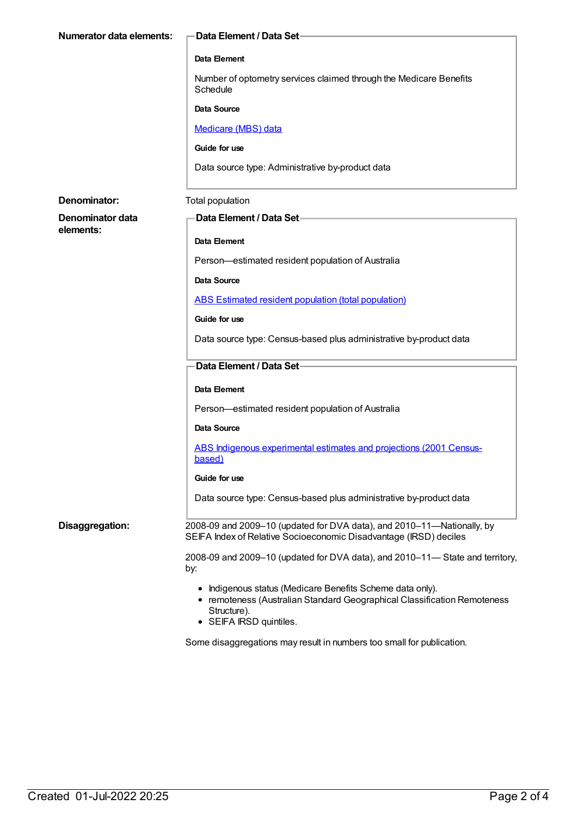| <b>Numerator data elements:</b> | Data Element / Data Set-                                                                                                                                                        |
|---------------------------------|---------------------------------------------------------------------------------------------------------------------------------------------------------------------------------|
|                                 | Data Element                                                                                                                                                                    |
|                                 | Number of optometry services claimed through the Medicare Benefits<br>Schedule                                                                                                  |
|                                 | <b>Data Source</b>                                                                                                                                                              |
|                                 | Medicare (MBS) data                                                                                                                                                             |
|                                 | Guide for use                                                                                                                                                                   |
|                                 | Data source type: Administrative by-product data                                                                                                                                |
| Denominator:                    | Total population                                                                                                                                                                |
| Denominator data<br>elements:   | Data Element / Data Set-                                                                                                                                                        |
|                                 | <b>Data Element</b>                                                                                                                                                             |
|                                 | Person-estimated resident population of Australia                                                                                                                               |
|                                 | <b>Data Source</b>                                                                                                                                                              |
|                                 | ABS Estimated resident population (total population)                                                                                                                            |
|                                 | Guide for use                                                                                                                                                                   |
|                                 | Data source type: Census-based plus administrative by-product data                                                                                                              |
|                                 | Data Element / Data Set-                                                                                                                                                        |
|                                 | <b>Data Element</b>                                                                                                                                                             |
|                                 | Person-estimated resident population of Australia                                                                                                                               |
|                                 | Data Source                                                                                                                                                                     |
|                                 | ABS Indigenous experimental estimates and projections (2001 Census-<br>based)                                                                                                   |
|                                 | Guide for use                                                                                                                                                                   |
|                                 | Data source type: Census-based plus administrative by-product data                                                                                                              |
| Disaggregation:                 | 2008-09 and 2009-10 (updated for DVA data), and 2010-11-Nationally, by<br>SEIFA Index of Relative Socioeconomic Disadvantage (IRSD) deciles                                     |
|                                 | 2008-09 and 2009-10 (updated for DVA data), and 2010-11- State and territory,<br>by:                                                                                            |
|                                 | • Indigenous status (Medicare Benefits Scheme data only).<br>• remoteness (Australian Standard Geographical Classification Remoteness<br>Structure).<br>• SEIFA IRSD quintiles. |

Some disaggregations may result in numbers too small for publication.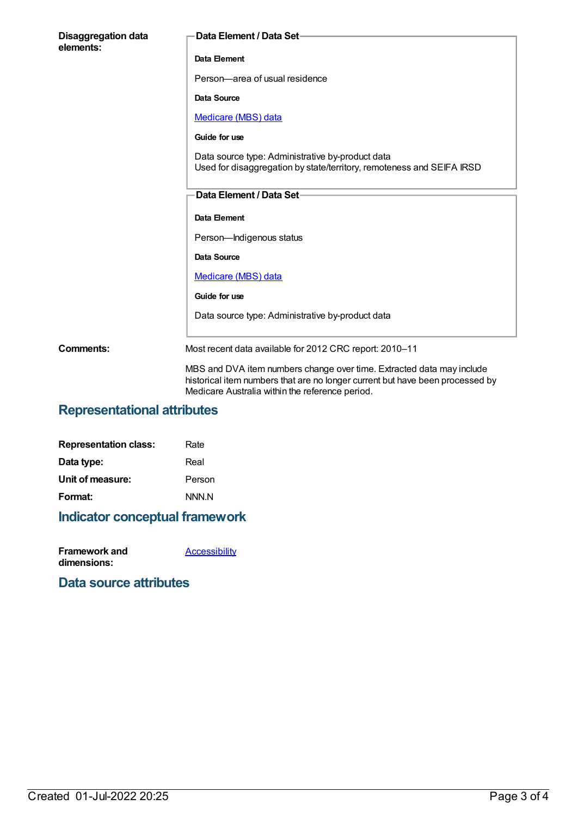| <b>Disaggregation data</b><br>elements: | Data Element / Data Set-                                                                                                                                                                                  |
|-----------------------------------------|-----------------------------------------------------------------------------------------------------------------------------------------------------------------------------------------------------------|
|                                         | Data Element                                                                                                                                                                                              |
|                                         | Person-area of usual residence                                                                                                                                                                            |
|                                         | <b>Data Source</b>                                                                                                                                                                                        |
|                                         | Medicare (MBS) data                                                                                                                                                                                       |
|                                         | Guide for use                                                                                                                                                                                             |
|                                         | Data source type: Administrative by-product data<br>Used for disaggregation by state/territory, remoteness and SEIFA IRSD                                                                                 |
|                                         | Data Element / Data Set-                                                                                                                                                                                  |
|                                         | Data Element                                                                                                                                                                                              |
|                                         | Person-Indigenous status                                                                                                                                                                                  |
|                                         | Data Source                                                                                                                                                                                               |
|                                         | Medicare (MBS) data                                                                                                                                                                                       |
|                                         | Guide for use                                                                                                                                                                                             |
|                                         | Data source type: Administrative by-product data                                                                                                                                                          |
| <b>Comments:</b>                        | Most recent data available for 2012 CRC report: 2010-11                                                                                                                                                   |
|                                         | MBS and DVA item numbers change over time. Extracted data may include<br>historical item numbers that are no longer current but have been processed by<br>Medicare Australia within the reference period. |

## **Representational attributes**

| <b>Representation class:</b> | Rate   |
|------------------------------|--------|
| Data type:                   | Real   |
| Unit of measure:             | Person |
| Format:                      | NNN N  |

# **Indicator conceptual framework**

| Framework and | <b>Accessibility</b> |
|---------------|----------------------|
| dimensions:   |                      |

## **Data source attributes**